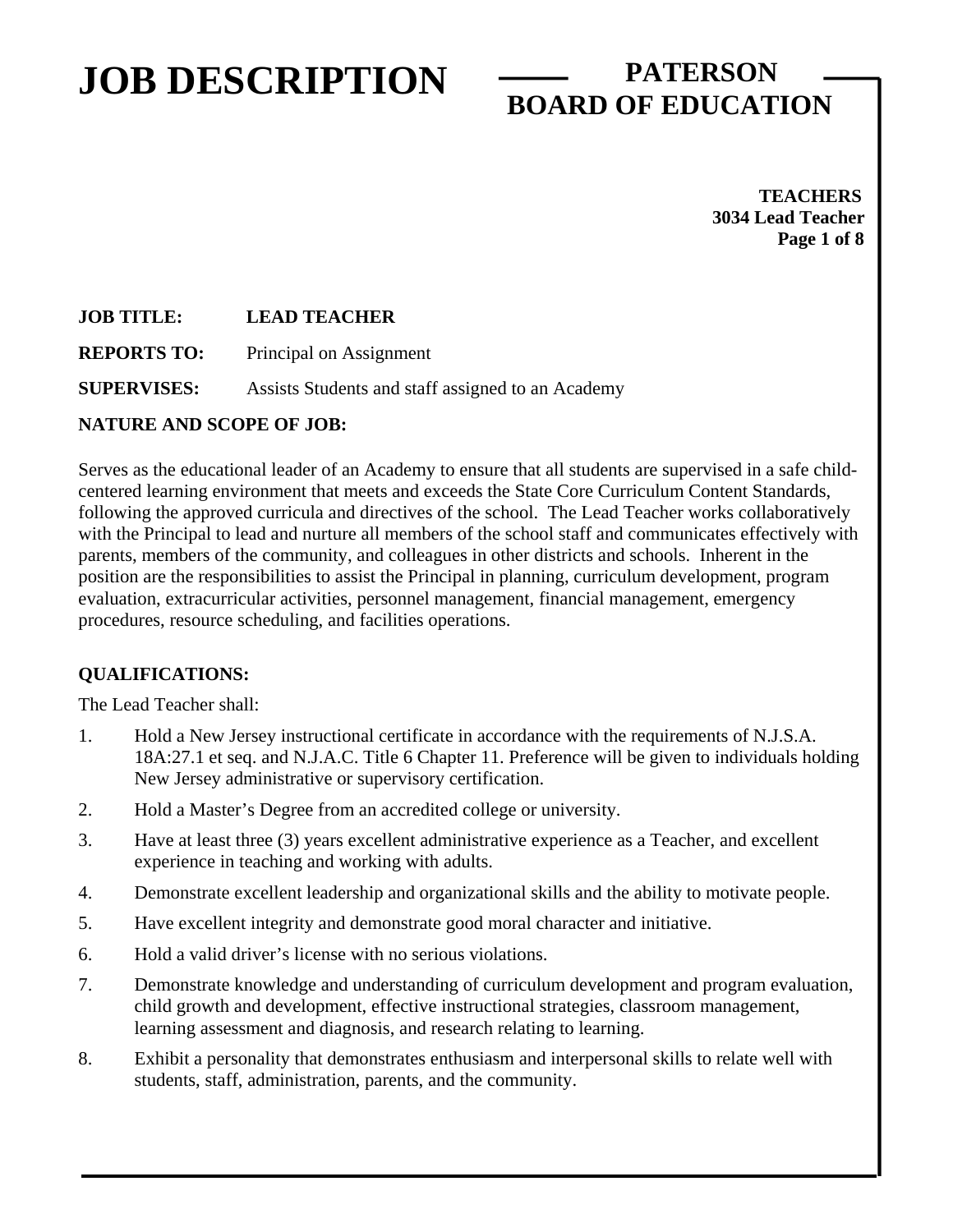## **BOARD OF EDUCATION**

 **TEACHERS 3034 Lead Teacher Page 1 of 8** 

#### **JOB TITLE: LEAD TEACHER**

**REPORTS TO:** Principal on Assignment

**SUPERVISES:** Assists Students and staff assigned to an Academy

### **NATURE AND SCOPE OF JOB:**

Serves as the educational leader of an Academy to ensure that all students are supervised in a safe childcentered learning environment that meets and exceeds the State Core Curriculum Content Standards, following the approved curricula and directives of the school. The Lead Teacher works collaboratively with the Principal to lead and nurture all members of the school staff and communicates effectively with parents, members of the community, and colleagues in other districts and schools. Inherent in the position are the responsibilities to assist the Principal in planning, curriculum development, program evaluation, extracurricular activities, personnel management, financial management, emergency procedures, resource scheduling, and facilities operations.

### **QUALIFICATIONS:**

The Lead Teacher shall:

- 1. Hold a New Jersey instructional certificate in accordance with the requirements of N.J.S.A. 18A:27.1 et seq. and N.J.A.C. Title 6 Chapter 11. Preference will be given to individuals holding New Jersey administrative or supervisory certification.
- 2. Hold a Master's Degree from an accredited college or university.
- 3. Have at least three (3) years excellent administrative experience as a Teacher, and excellent experience in teaching and working with adults.
- 4. Demonstrate excellent leadership and organizational skills and the ability to motivate people.
- 5. Have excellent integrity and demonstrate good moral character and initiative.
- 6. Hold a valid driver's license with no serious violations.
- 7. Demonstrate knowledge and understanding of curriculum development and program evaluation, child growth and development, effective instructional strategies, classroom management, learning assessment and diagnosis, and research relating to learning.
- 8. Exhibit a personality that demonstrates enthusiasm and interpersonal skills to relate well with students, staff, administration, parents, and the community.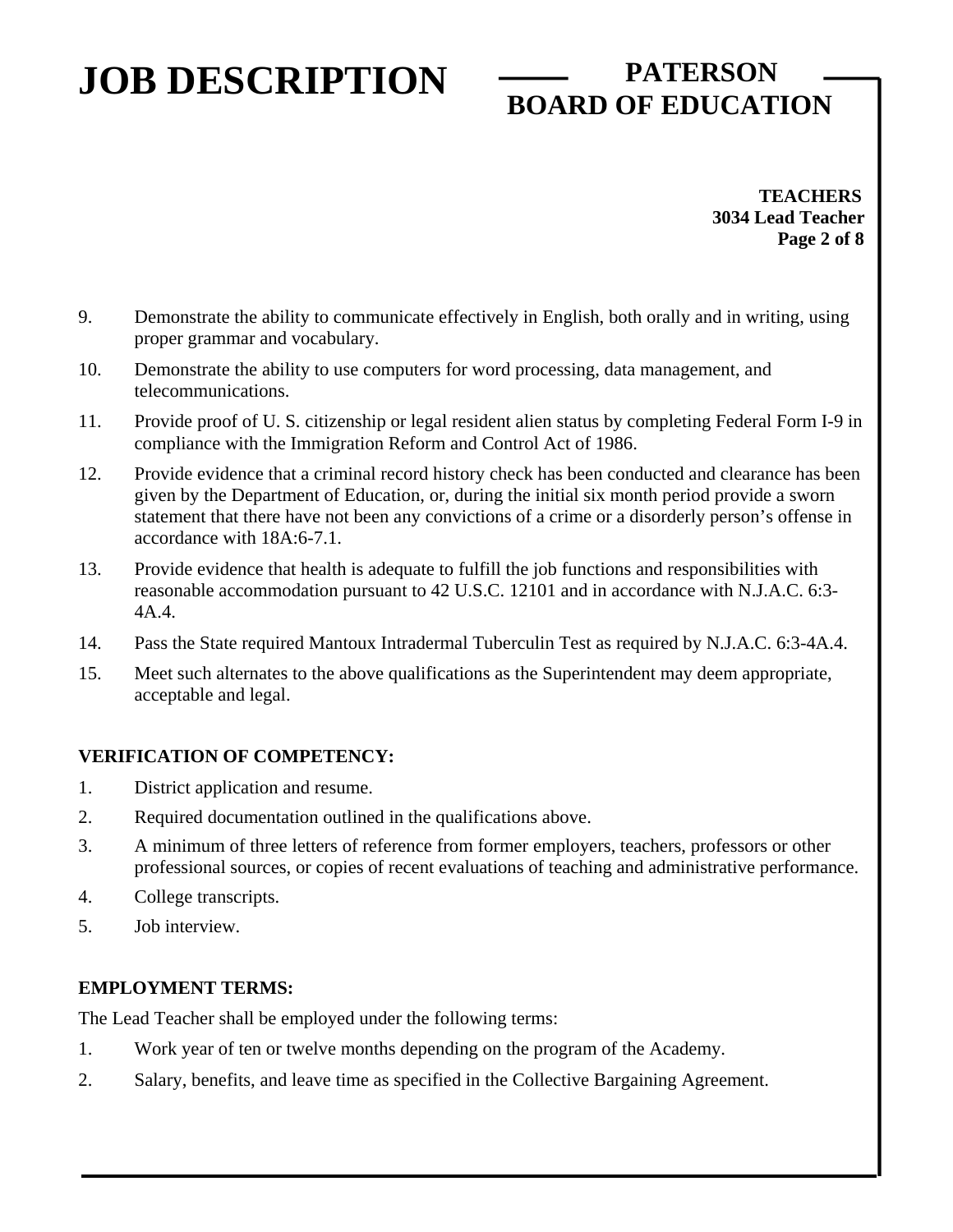# **BOARD OF EDUCATION**

 **TEACHERS 3034 Lead Teacher Page 2 of 8** 

- 9. Demonstrate the ability to communicate effectively in English, both orally and in writing, using proper grammar and vocabulary.
- 10. Demonstrate the ability to use computers for word processing, data management, and telecommunications.
- 11. Provide proof of U. S. citizenship or legal resident alien status by completing Federal Form I-9 in compliance with the Immigration Reform and Control Act of 1986.
- 12. Provide evidence that a criminal record history check has been conducted and clearance has been given by the Department of Education, or, during the initial six month period provide a sworn statement that there have not been any convictions of a crime or a disorderly person's offense in accordance with 18A:6-7.1.
- 13. Provide evidence that health is adequate to fulfill the job functions and responsibilities with reasonable accommodation pursuant to 42 U.S.C. 12101 and in accordance with N.J.A.C. 6:3- 4A.4.
- 14. Pass the State required Mantoux Intradermal Tuberculin Test as required by N.J.A.C. 6:3-4A.4.
- 15. Meet such alternates to the above qualifications as the Superintendent may deem appropriate, acceptable and legal.

### **VERIFICATION OF COMPETENCY:**

- 1. District application and resume.
- 2. Required documentation outlined in the qualifications above.
- 3. A minimum of three letters of reference from former employers, teachers, professors or other professional sources, or copies of recent evaluations of teaching and administrative performance.
- 4. College transcripts.
- 5. Job interview.

#### **EMPLOYMENT TERMS:**

The Lead Teacher shall be employed under the following terms:

- 1. Work year of ten or twelve months depending on the program of the Academy.
- 2. Salary, benefits, and leave time as specified in the Collective Bargaining Agreement.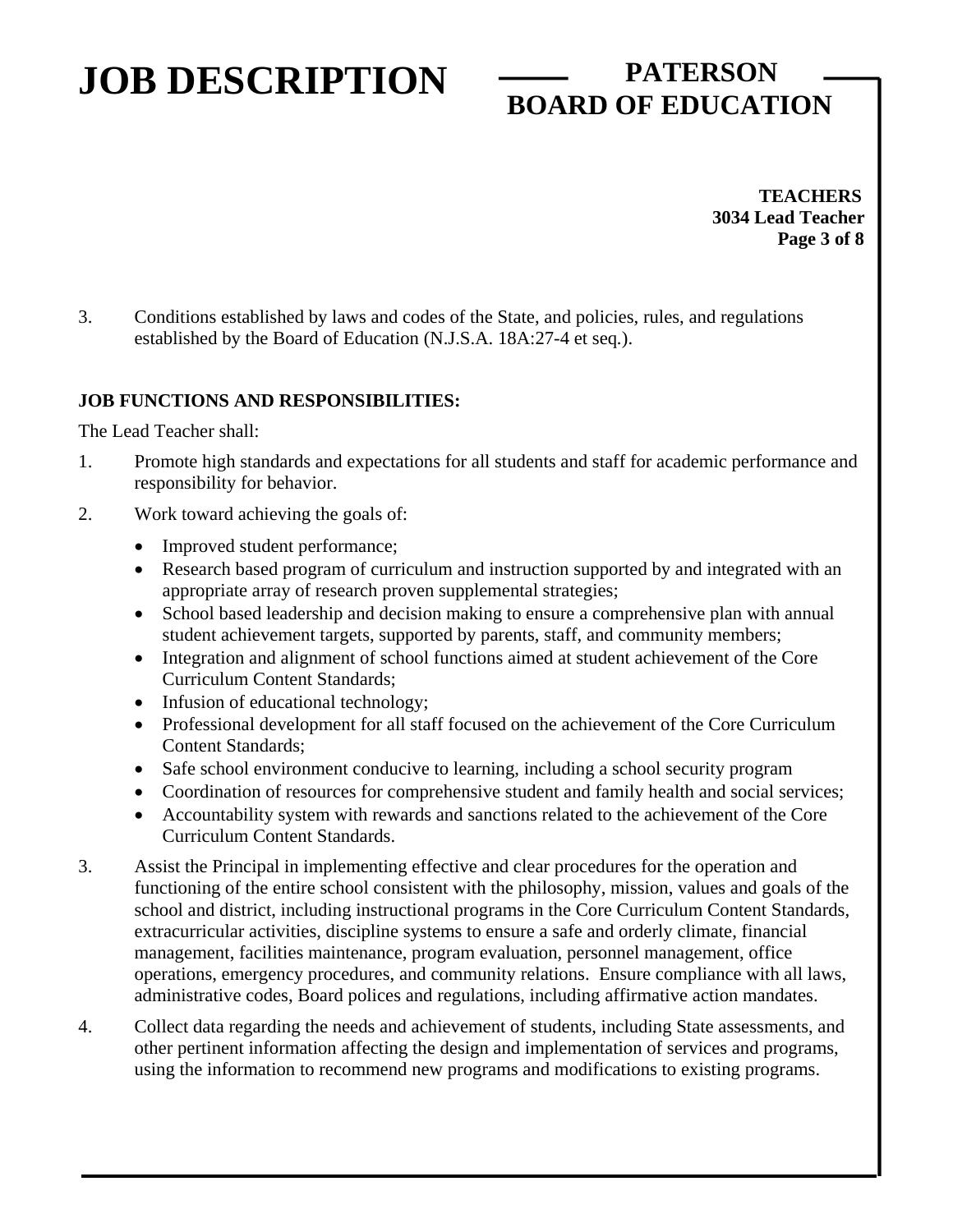# **BOARD OF EDUCATION**

 **TEACHERS 3034 Lead Teacher Page 3 of 8** 

3. Conditions established by laws and codes of the State, and policies, rules, and regulations established by the Board of Education (N.J.S.A. 18A:27-4 et seq*.*).

#### **JOB FUNCTIONS AND RESPONSIBILITIES:**

The Lead Teacher shall:

- 1. Promote high standards and expectations for all students and staff for academic performance and responsibility for behavior.
- 2. Work toward achieving the goals of:
	- Improved student performance;
	- Research based program of curriculum and instruction supported by and integrated with an appropriate array of research proven supplemental strategies;
	- School based leadership and decision making to ensure a comprehensive plan with annual student achievement targets, supported by parents, staff, and community members;
	- Integration and alignment of school functions aimed at student achievement of the Core Curriculum Content Standards;
	- Infusion of educational technology;
	- Professional development for all staff focused on the achievement of the Core Curriculum Content Standards;
	- Safe school environment conducive to learning, including a school security program
	- Coordination of resources for comprehensive student and family health and social services;
	- Accountability system with rewards and sanctions related to the achievement of the Core Curriculum Content Standards.
- 3. Assist the Principal in implementing effective and clear procedures for the operation and functioning of the entire school consistent with the philosophy, mission, values and goals of the school and district, including instructional programs in the Core Curriculum Content Standards, extracurricular activities, discipline systems to ensure a safe and orderly climate, financial management, facilities maintenance, program evaluation, personnel management, office operations, emergency procedures, and community relations. Ensure compliance with all laws, administrative codes, Board polices and regulations, including affirmative action mandates.
- 4. Collect data regarding the needs and achievement of students, including State assessments, and other pertinent information affecting the design and implementation of services and programs, using the information to recommend new programs and modifications to existing programs.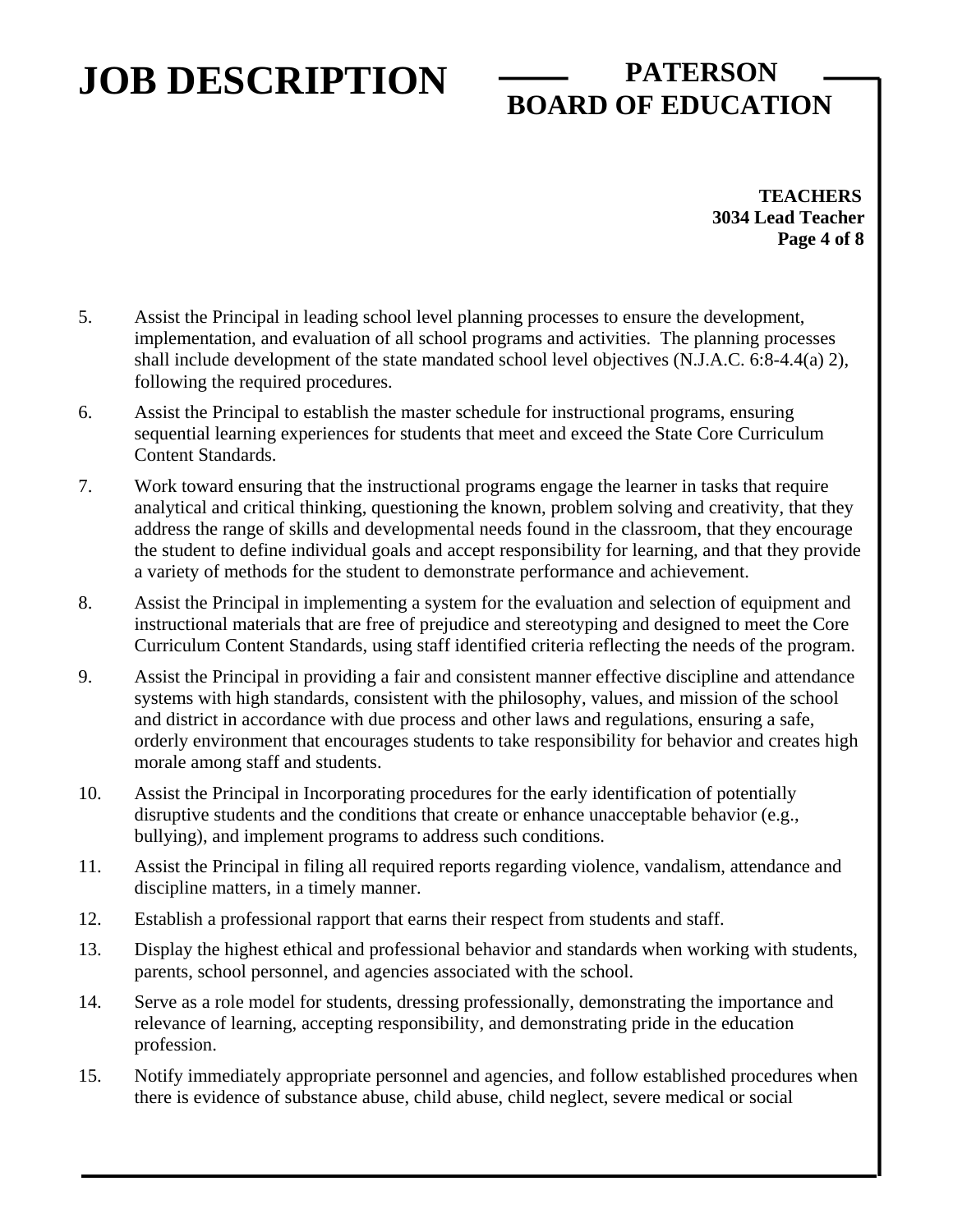# **BOARD OF EDUCATION**

 **TEACHERS 3034 Lead Teacher Page 4 of 8** 

- 5. Assist the Principal in leading school level planning processes to ensure the development, implementation, and evaluation of all school programs and activities. The planning processes shall include development of the state mandated school level objectives (N.J.A.C. 6:8-4.4(a) 2), following the required procedures.
- 6. Assist the Principal to establish the master schedule for instructional programs, ensuring sequential learning experiences for students that meet and exceed the State Core Curriculum Content Standards.
- 7. Work toward ensuring that the instructional programs engage the learner in tasks that require analytical and critical thinking, questioning the known, problem solving and creativity, that they address the range of skills and developmental needs found in the classroom, that they encourage the student to define individual goals and accept responsibility for learning, and that they provide a variety of methods for the student to demonstrate performance and achievement.
- 8. Assist the Principal in implementing a system for the evaluation and selection of equipment and instructional materials that are free of prejudice and stereotyping and designed to meet the Core Curriculum Content Standards, using staff identified criteria reflecting the needs of the program.
- 9. Assist the Principal in providing a fair and consistent manner effective discipline and attendance systems with high standards, consistent with the philosophy, values, and mission of the school and district in accordance with due process and other laws and regulations, ensuring a safe, orderly environment that encourages students to take responsibility for behavior and creates high morale among staff and students.
- 10. Assist the Principal in Incorporating procedures for the early identification of potentially disruptive students and the conditions that create or enhance unacceptable behavior (e.g., bullying), and implement programs to address such conditions.
- 11. Assist the Principal in filing all required reports regarding violence, vandalism, attendance and discipline matters, in a timely manner.
- 12. Establish a professional rapport that earns their respect from students and staff.
- 13. Display the highest ethical and professional behavior and standards when working with students, parents, school personnel, and agencies associated with the school.
- 14. Serve as a role model for students, dressing professionally, demonstrating the importance and relevance of learning, accepting responsibility, and demonstrating pride in the education profession.
- 15. Notify immediately appropriate personnel and agencies, and follow established procedures when there is evidence of substance abuse, child abuse, child neglect, severe medical or social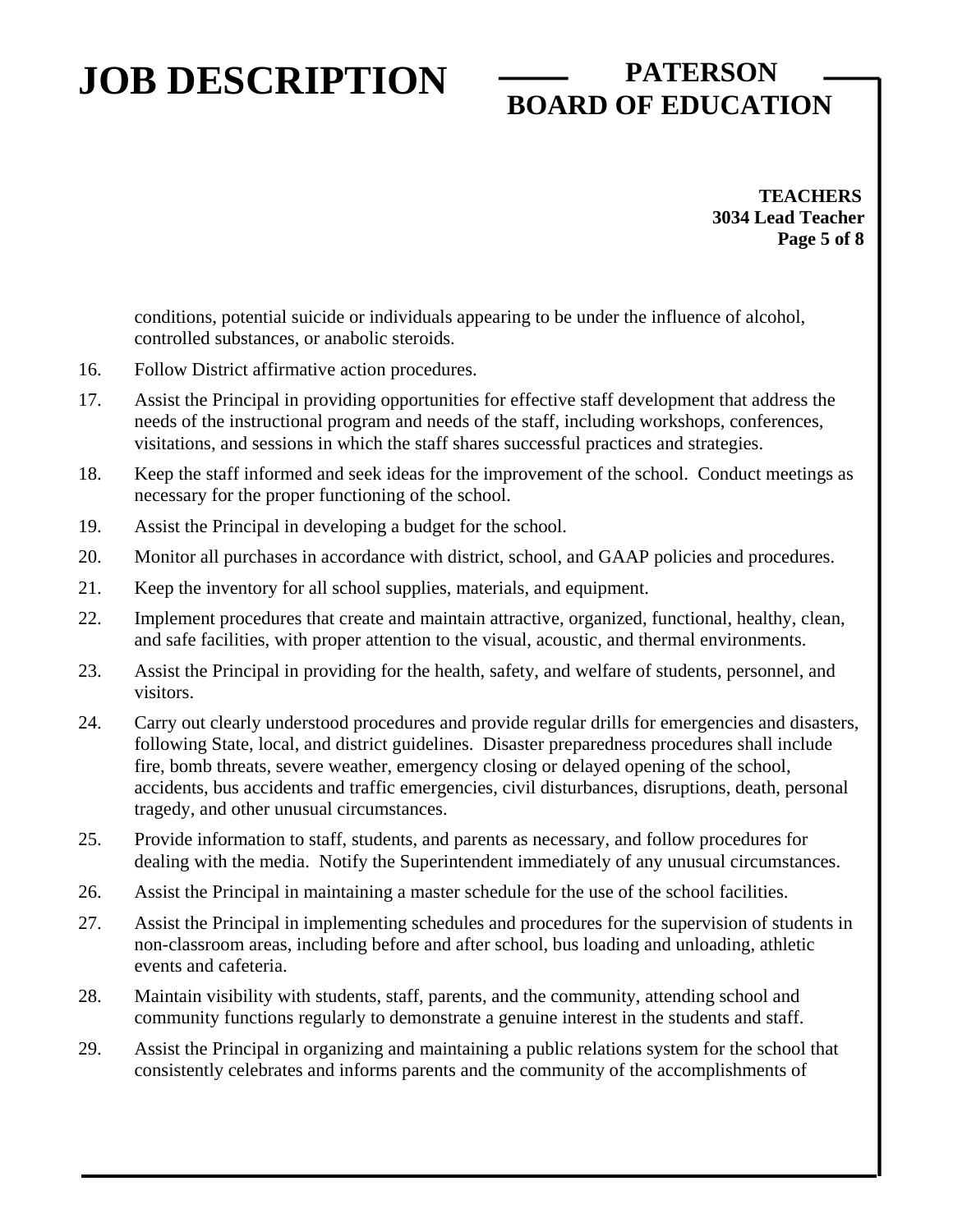# **BOARD OF EDUCATION**

 **TEACHERS 3034 Lead Teacher Page 5 of 8** 

conditions, potential suicide or individuals appearing to be under the influence of alcohol, controlled substances, or anabolic steroids.

- 16. Follow District affirmative action procedures.
- 17. Assist the Principal in providing opportunities for effective staff development that address the needs of the instructional program and needs of the staff, including workshops, conferences, visitations, and sessions in which the staff shares successful practices and strategies.
- 18. Keep the staff informed and seek ideas for the improvement of the school. Conduct meetings as necessary for the proper functioning of the school.
- 19. Assist the Principal in developing a budget for the school.
- 20. Monitor all purchases in accordance with district, school, and GAAP policies and procedures.
- 21. Keep the inventory for all school supplies, materials, and equipment.
- 22. Implement procedures that create and maintain attractive, organized, functional, healthy, clean, and safe facilities, with proper attention to the visual, acoustic, and thermal environments.
- 23. Assist the Principal in providing for the health, safety, and welfare of students, personnel, and visitors.
- 24. Carry out clearly understood procedures and provide regular drills for emergencies and disasters, following State, local, and district guidelines. Disaster preparedness procedures shall include fire, bomb threats, severe weather, emergency closing or delayed opening of the school, accidents, bus accidents and traffic emergencies, civil disturbances, disruptions, death, personal tragedy, and other unusual circumstances.
- 25. Provide information to staff, students, and parents as necessary, and follow procedures for dealing with the media. Notify the Superintendent immediately of any unusual circumstances.
- 26. Assist the Principal in maintaining a master schedule for the use of the school facilities.
- 27. Assist the Principal in implementing schedules and procedures for the supervision of students in non-classroom areas, including before and after school, bus loading and unloading, athletic events and cafeteria.
- 28. Maintain visibility with students, staff, parents, and the community, attending school and community functions regularly to demonstrate a genuine interest in the students and staff.
- 29. Assist the Principal in organizing and maintaining a public relations system for the school that consistently celebrates and informs parents and the community of the accomplishments of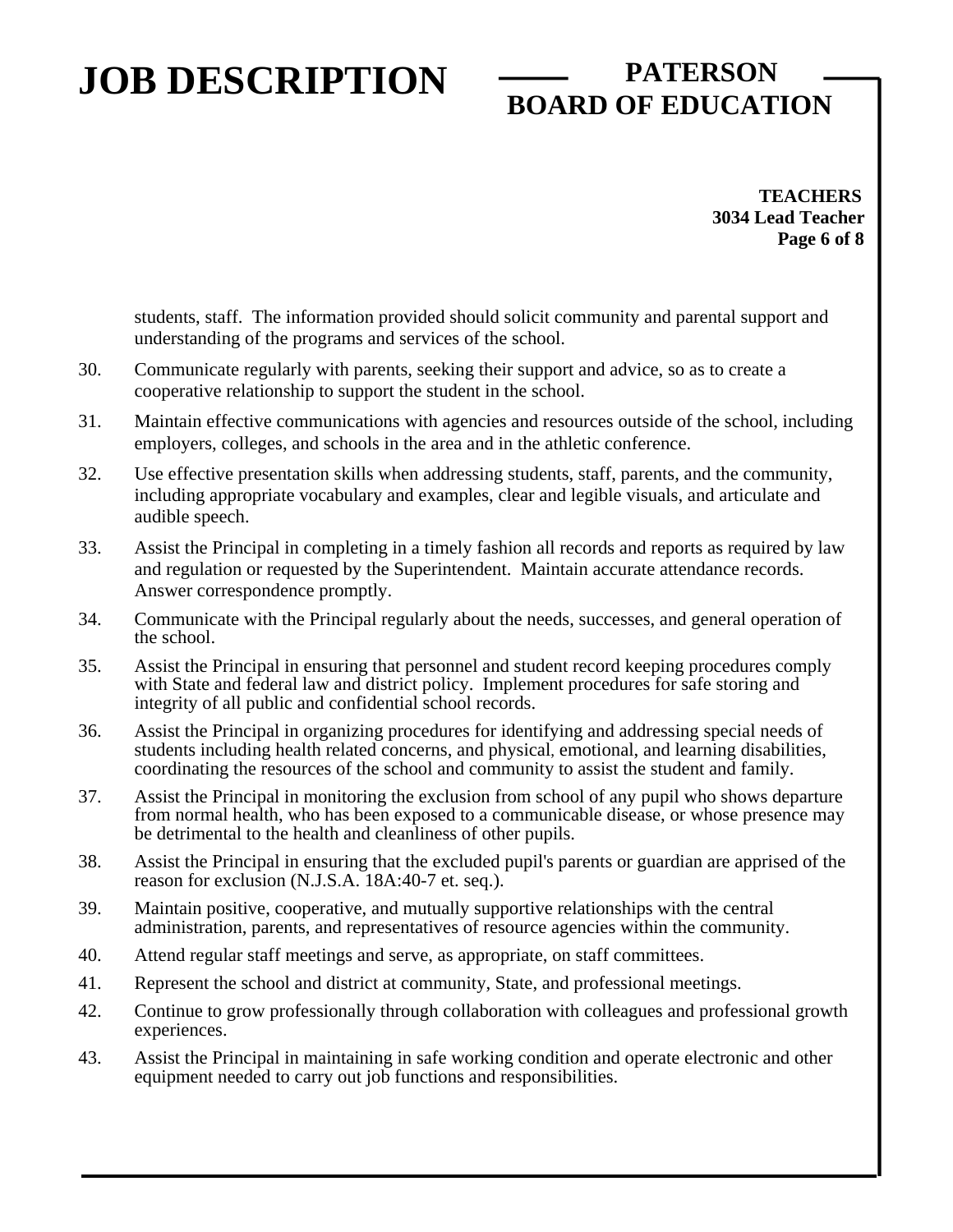# **BOARD OF EDUCATION**

 **TEACHERS 3034 Lead Teacher Page 6 of 8** 

students, staff. The information provided should solicit community and parental support and understanding of the programs and services of the school.

- 30. Communicate regularly with parents, seeking their support and advice, so as to create a cooperative relationship to support the student in the school.
- 31. Maintain effective communications with agencies and resources outside of the school, including employers, colleges, and schools in the area and in the athletic conference.
- 32. Use effective presentation skills when addressing students, staff, parents, and the community, including appropriate vocabulary and examples, clear and legible visuals, and articulate and audible speech.
- 33. Assist the Principal in completing in a timely fashion all records and reports as required by law and regulation or requested by the Superintendent. Maintain accurate attendance records. Answer correspondence promptly.
- 34. Communicate with the Principal regularly about the needs, successes, and general operation of the school.
- 35. Assist the Principal in ensuring that personnel and student record keeping procedures comply with State and federal law and district policy. Implement procedures for safe storing and integrity of all public and confidential school records.
- 36. Assist the Principal in organizing procedures for identifying and addressing special needs of students including health related concerns, and physical, emotional, and learning disabilities, coordinating the resources of the school and community to assist the student and family.
- 37. Assist the Principal in monitoring the exclusion from school of any pupil who shows departure from normal health, who has been exposed to a communicable disease, or whose presence may be detrimental to the health and cleanliness of other pupils.
- 38. Assist the Principal in ensuring that the excluded pupil's parents or guardian are apprised of the reason for exclusion (N.J.S.A. 18A:40-7 et. seq.).
- 39. Maintain positive, cooperative, and mutually supportive relationships with the central administration, parents, and representatives of resource agencies within the community.
- 40. Attend regular staff meetings and serve, as appropriate, on staff committees.
- 41. Represent the school and district at community, State, and professional meetings.
- 42. Continue to grow professionally through collaboration with colleagues and professional growth experiences.
- 43. Assist the Principal in maintaining in safe working condition and operate electronic and other equipment needed to carry out job functions and responsibilities.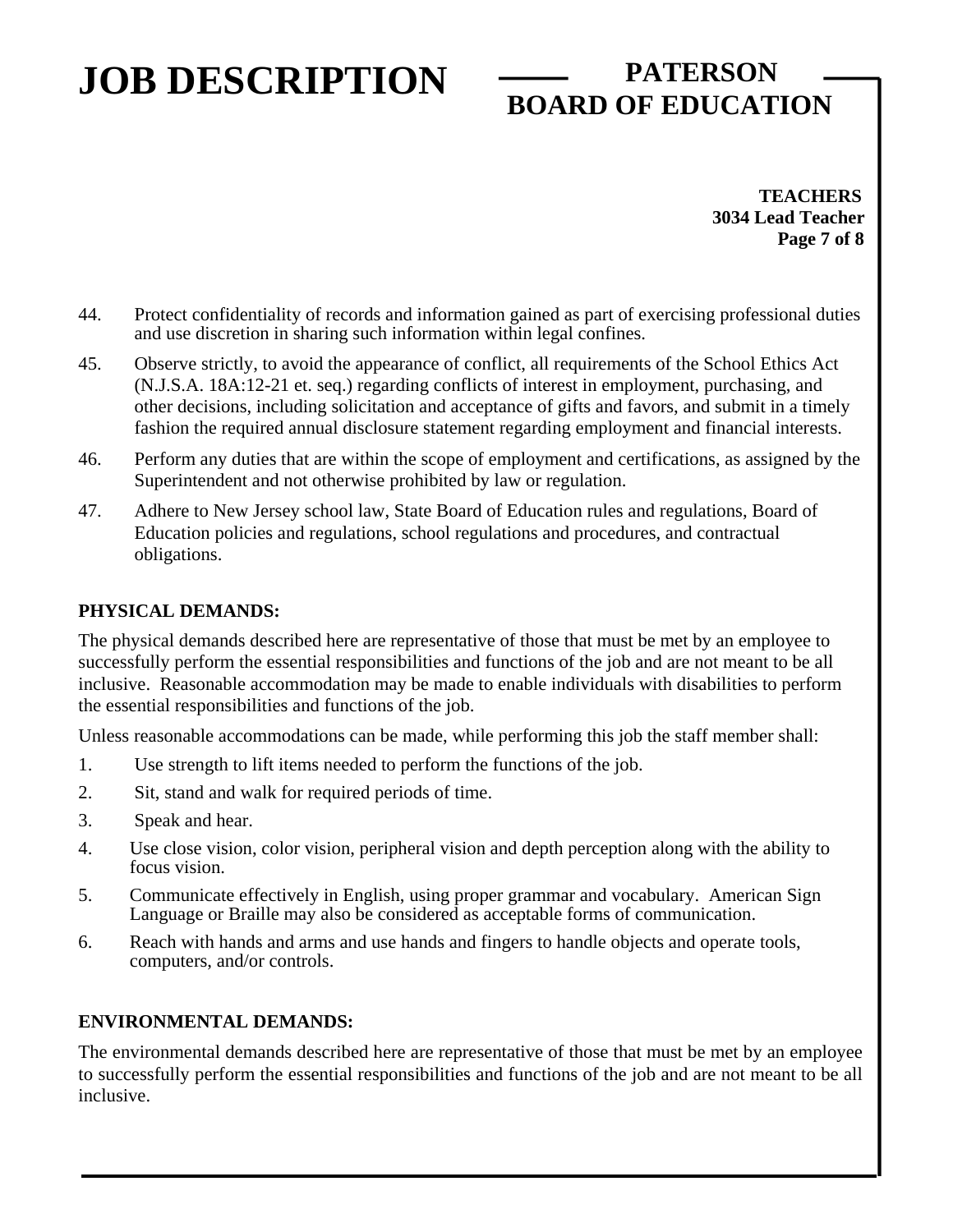# **BOARD OF EDUCATION**

 **TEACHERS 3034 Lead Teacher Page 7 of 8** 

- 44. Protect confidentiality of records and information gained as part of exercising professional duties and use discretion in sharing such information within legal confines.
- 45. Observe strictly, to avoid the appearance of conflict, all requirements of the School Ethics Act (N.J.S.A. 18A:12-21 et. seq.) regarding conflicts of interest in employment, purchasing, and other decisions, including solicitation and acceptance of gifts and favors, and submit in a timely fashion the required annual disclosure statement regarding employment and financial interests.
- 46. Perform any duties that are within the scope of employment and certifications, as assigned by the Superintendent and not otherwise prohibited by law or regulation.
- 47. Adhere to New Jersey school law, State Board of Education rules and regulations, Board of Education policies and regulations, school regulations and procedures, and contractual obligations.

#### **PHYSICAL DEMANDS:**

The physical demands described here are representative of those that must be met by an employee to successfully perform the essential responsibilities and functions of the job and are not meant to be all inclusive. Reasonable accommodation may be made to enable individuals with disabilities to perform the essential responsibilities and functions of the job.

Unless reasonable accommodations can be made, while performing this job the staff member shall:

- 1. Use strength to lift items needed to perform the functions of the job.
- 2. Sit, stand and walk for required periods of time.
- 3. Speak and hear.
- 4. Use close vision, color vision, peripheral vision and depth perception along with the ability to focus vision.
- 5. Communicate effectively in English, using proper grammar and vocabulary. American Sign Language or Braille may also be considered as acceptable forms of communication.
- 6. Reach with hands and arms and use hands and fingers to handle objects and operate tools, computers, and/or controls.

#### **ENVIRONMENTAL DEMANDS:**

The environmental demands described here are representative of those that must be met by an employee to successfully perform the essential responsibilities and functions of the job and are not meant to be all inclusive.